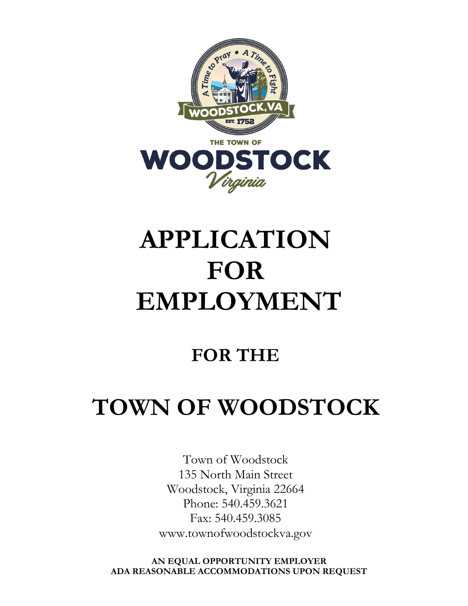

## **APPLICATION FOR EMPLOYMENT**

## **FOR THE**

## **TOWN OF WOODSTOCK**

Town of Woodstock 135 North Main Street Woodstock, Virginia 22664 Phone: 540.459.3621 Fax: 540.459.3085 www.townofwoodstockva.gov

**AN EQUAL OPPORTUNITY EMPLOYER ADA REASONABLE ACCOMMODATIONS UPON REQUEST**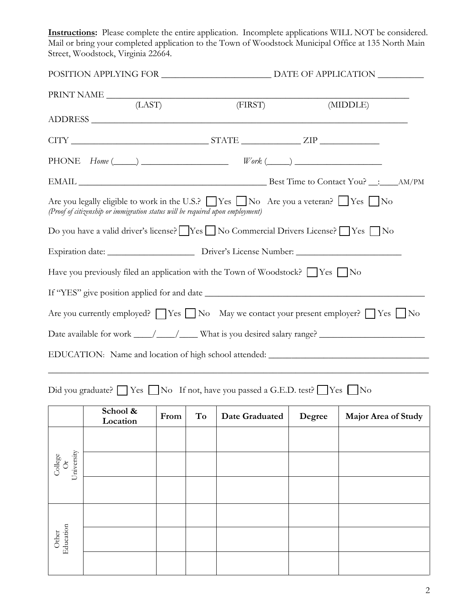**Instructions:** Please complete the entire application. Incomplete applications WILL NOT be considered. Mail or bring your completed application to the Town of Woodstock Municipal Office at 135 North Main Street, Woodstock, Virginia 22664.

|                             | (LAST)                                                                                                                              |      |    | (FIRST)                                                                                                    |        | (MIDDLE)                                                                                                    |  |
|-----------------------------|-------------------------------------------------------------------------------------------------------------------------------------|------|----|------------------------------------------------------------------------------------------------------------|--------|-------------------------------------------------------------------------------------------------------------|--|
|                             |                                                                                                                                     |      |    |                                                                                                            |        |                                                                                                             |  |
|                             |                                                                                                                                     |      |    | PHONE $Home (\_\_\_\_\_\_\_$                                                                               |        |                                                                                                             |  |
|                             |                                                                                                                                     |      |    |                                                                                                            |        |                                                                                                             |  |
|                             | (Proof of citizenship or immigration status will be required upon employment)                                                       |      |    | Are you legally eligible to work in the U.S.? $\Box$ Yes $\Box$ No Are you a veteran? $\Box$ Yes $\Box$ No |        |                                                                                                             |  |
|                             |                                                                                                                                     |      |    | Do you have a valid driver's license? See See No Commercial Drivers License? See See See No                |        |                                                                                                             |  |
|                             |                                                                                                                                     |      |    |                                                                                                            |        |                                                                                                             |  |
|                             |                                                                                                                                     |      |    | Have you previously filed an application with the Town of Woodstock? TYes No                               |        |                                                                                                             |  |
|                             |                                                                                                                                     |      |    |                                                                                                            |        |                                                                                                             |  |
|                             |                                                                                                                                     |      |    |                                                                                                            |        | Are you currently employed? $\Box$ Yes $\Box$ No May we contact your present employer? $\Box$ Yes $\Box$ No |  |
|                             |                                                                                                                                     |      |    |                                                                                                            |        | Date available for work _____/_____/_____ What is you desired salary range? ________________________        |  |
|                             |                                                                                                                                     |      |    |                                                                                                            |        | EDUCATION: Name and location of high school attended: ___________________________                           |  |
|                             |                                                                                                                                     |      |    |                                                                                                            |        |                                                                                                             |  |
|                             |                                                                                                                                     |      |    | Did you graduate? $\Box$ Yes $\Box$ No If not, have you passed a G.E.D. test? $\Box$ Yes $\Box$ No         |        |                                                                                                             |  |
|                             | School & $\begin{array}{ c c c c c c } \hline \end{array}$ School & $\begin{array}{ c c c c c c c } \hline \end{array}$<br>Location | From | To | Date Graduated                                                                                             | Degree | Major Area of Study                                                                                         |  |
|                             |                                                                                                                                     |      |    |                                                                                                            |        |                                                                                                             |  |
| University<br>College<br>Or |                                                                                                                                     |      |    |                                                                                                            |        |                                                                                                             |  |
|                             |                                                                                                                                     |      |    |                                                                                                            |        |                                                                                                             |  |
|                             |                                                                                                                                     |      |    |                                                                                                            |        |                                                                                                             |  |
|                             |                                                                                                                                     |      |    |                                                                                                            |        |                                                                                                             |  |
| Education<br>Other          |                                                                                                                                     |      |    |                                                                                                            |        |                                                                                                             |  |
|                             |                                                                                                                                     |      |    |                                                                                                            |        |                                                                                                             |  |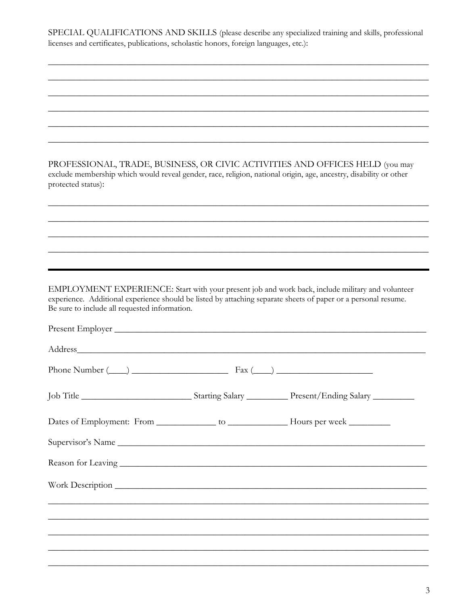SPECIAL QUALIFICATIONS AND SKILLS (please describe any specialized training and skills, professional licenses and certificates, publications, scholastic honors, foreign languages, etc.):

PROFESSIONAL, TRADE, BUSINESS, OR CIVIC ACTIVITIES AND OFFICES HELD (you may exclude membership which would reveal gender, race, religion, national origin, age, ancestry, disability or other protected status):

EMPLOYMENT EXPERIENCE: Start with your present job and work back, include military and volunteer experience. Additional experience should be listed by attaching separate sheets of paper or a personal resume. Be sure to include all requested information.

| Present Employer                          |  |
|-------------------------------------------|--|
|                                           |  |
| Phone Number $(\_\_)$ $\_\_$ Fax $(\_\_)$ |  |
|                                           |  |
|                                           |  |
| Supervisor's Name                         |  |
|                                           |  |
|                                           |  |
|                                           |  |
|                                           |  |
|                                           |  |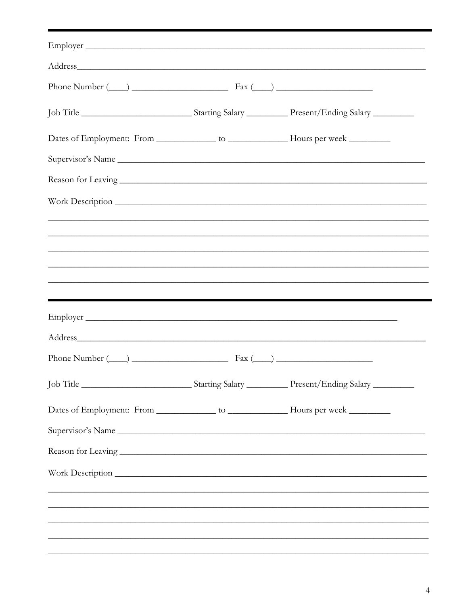| Employer                                  |                                                                                                                                                        |
|-------------------------------------------|--------------------------------------------------------------------------------------------------------------------------------------------------------|
|                                           |                                                                                                                                                        |
| Phone Number $(\_\_)$ $\_\_$ Fax $(\_\_)$ |                                                                                                                                                        |
|                                           |                                                                                                                                                        |
|                                           |                                                                                                                                                        |
| Supervisor's Name                         |                                                                                                                                                        |
|                                           |                                                                                                                                                        |
|                                           |                                                                                                                                                        |
|                                           |                                                                                                                                                        |
|                                           |                                                                                                                                                        |
|                                           |                                                                                                                                                        |
|                                           |                                                                                                                                                        |
|                                           |                                                                                                                                                        |
|                                           |                                                                                                                                                        |
|                                           |                                                                                                                                                        |
| Phone Number $(\_\_)$ $\_\_$ Fax $(\_\_)$ |                                                                                                                                                        |
|                                           |                                                                                                                                                        |
|                                           |                                                                                                                                                        |
|                                           |                                                                                                                                                        |
| Supervisor's Name                         |                                                                                                                                                        |
|                                           |                                                                                                                                                        |
|                                           |                                                                                                                                                        |
|                                           |                                                                                                                                                        |
|                                           | ,我们也不能在这里的人,我们也不能在这里的人,我们也不能在这里的人,我们也不能在这里的人,我们也不能在这里的人,我们也不能在这里的人,我们也不能在这里的人,我们也<br><u> 1989 - Johann John Stone, Amerikaansk politiker (d. 1989)</u> |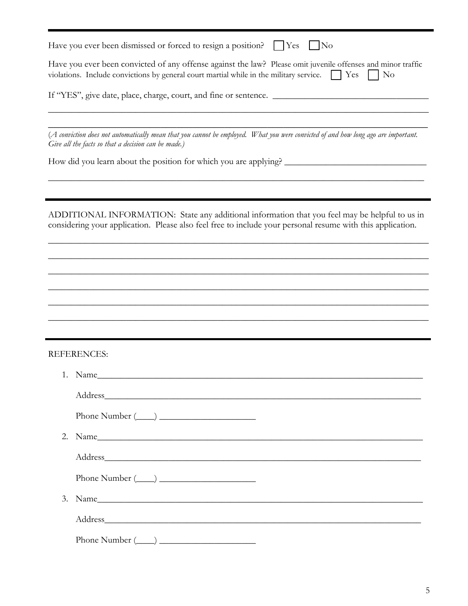| Have you ever been dismissed or forced to resign a position?   Yes<br>$\vert$ No                                                                                                                                                 |
|----------------------------------------------------------------------------------------------------------------------------------------------------------------------------------------------------------------------------------|
| Have you ever been convicted of any offense against the law? Please omit juvenile offenses and minor traffic<br>violations. Include convictions by general court martial while in the military service. $\Box$ Yes<br>$\vert$ No |
|                                                                                                                                                                                                                                  |
| (A conviction does not automatically mean that you cannot be employed. What you were convicted of and how long ago are important.<br>Give all the facts so that a decision can be made.)                                         |
|                                                                                                                                                                                                                                  |
| ADDITIONAL INFORMATION: State any additional information that you feel may be helpful to us in<br>considering your application. Please also feel free to include your personal resume with this application.                     |
|                                                                                                                                                                                                                                  |
|                                                                                                                                                                                                                                  |
|                                                                                                                                                                                                                                  |
|                                                                                                                                                                                                                                  |
| <b>REFERENCES:</b>                                                                                                                                                                                                               |
|                                                                                                                                                                                                                                  |
|                                                                                                                                                                                                                                  |
|                                                                                                                                                                                                                                  |
|                                                                                                                                                                                                                                  |
|                                                                                                                                                                                                                                  |
|                                                                                                                                                                                                                                  |
| 3. Name                                                                                                                                                                                                                          |
|                                                                                                                                                                                                                                  |
|                                                                                                                                                                                                                                  |